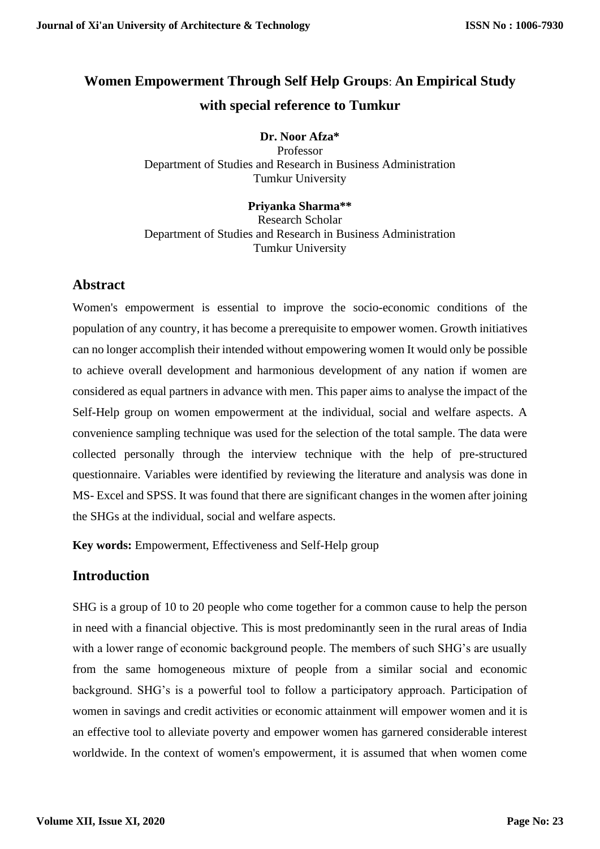# **Women Empowerment Through Self Help Groups**: **An Empirical Study with special reference to Tumkur**

### **Dr. Noor Afza\***

Professor Department of Studies and Research in Business Administration Tumkur University

### **Priyanka Sharma\*\***

Research Scholar Department of Studies and Research in Business Administration Tumkur University

# **Abstract**

Women's empowerment is essential to improve the socio-economic conditions of the population of any country, it has become a prerequisite to empower women. Growth initiatives can no longer accomplish their intended without empowering women It would only be possible to achieve overall development and harmonious development of any nation if women are considered as equal partners in advance with men. This paper aims to analyse the impact of the Self-Help group on women empowerment at the individual, social and welfare aspects. A convenience sampling technique was used for the selection of the total sample. The data were collected personally through the interview technique with the help of pre-structured questionnaire. Variables were identified by reviewing the literature and analysis was done in MS- Excel and SPSS. It was found that there are significant changes in the women after joining the SHGs at the individual, social and welfare aspects.

**Key words:** Empowerment, Effectiveness and Self-Help group

# **Introduction**

SHG is a group of 10 to 20 people who come together for a common cause to help the person in need with a financial objective. This is most predominantly seen in the rural areas of India with a lower range of economic background people. The members of such SHG's are usually from the same homogeneous mixture of people from a similar social and economic background. SHG's is a powerful tool to follow a participatory approach. Participation of women in savings and credit activities or economic attainment will empower women and it is an effective tool to alleviate poverty and empower women has garnered considerable interest worldwide. In the context of women's empowerment, it is assumed that when women come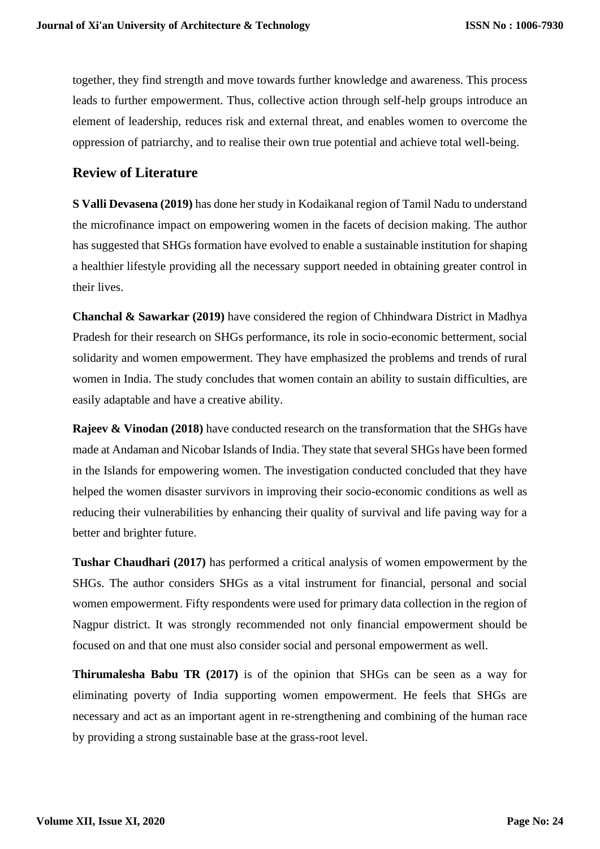together, they find strength and move towards further knowledge and awareness. This process leads to further empowerment. Thus, collective action through self-help groups introduce an element of leadership, reduces risk and external threat, and enables women to overcome the oppression of patriarchy, and to realise their own true potential and achieve total well-being.

### **Review of Literature**

**S Valli Devasena (2019)** has done her study in Kodaikanal region of Tamil Nadu to understand the microfinance impact on empowering women in the facets of decision making. The author has suggested that SHGs formation have evolved to enable a sustainable institution for shaping a healthier lifestyle providing all the necessary support needed in obtaining greater control in their lives.

**Chanchal & Sawarkar (2019)** have considered the region of Chhindwara District in Madhya Pradesh for their research on SHGs performance, its role in socio-economic betterment, social solidarity and women empowerment. They have emphasized the problems and trends of rural women in India. The study concludes that women contain an ability to sustain difficulties, are easily adaptable and have a creative ability.

**Rajeev & Vinodan (2018)** have conducted research on the transformation that the SHGs have made at Andaman and Nicobar Islands of India. They state that several SHGs have been formed in the Islands for empowering women. The investigation conducted concluded that they have helped the women disaster survivors in improving their socio-economic conditions as well as reducing their vulnerabilities by enhancing their quality of survival and life paving way for a better and brighter future.

**Tushar Chaudhari (2017)** has performed a critical analysis of women empowerment by the SHGs. The author considers SHGs as a vital instrument for financial, personal and social women empowerment. Fifty respondents were used for primary data collection in the region of Nagpur district. It was strongly recommended not only financial empowerment should be focused on and that one must also consider social and personal empowerment as well.

**Thirumalesha Babu TR (2017)** is of the opinion that SHGs can be seen as a way for eliminating poverty of India supporting women empowerment. He feels that SHGs are necessary and act as an important agent in re-strengthening and combining of the human race by providing a strong sustainable base at the grass-root level.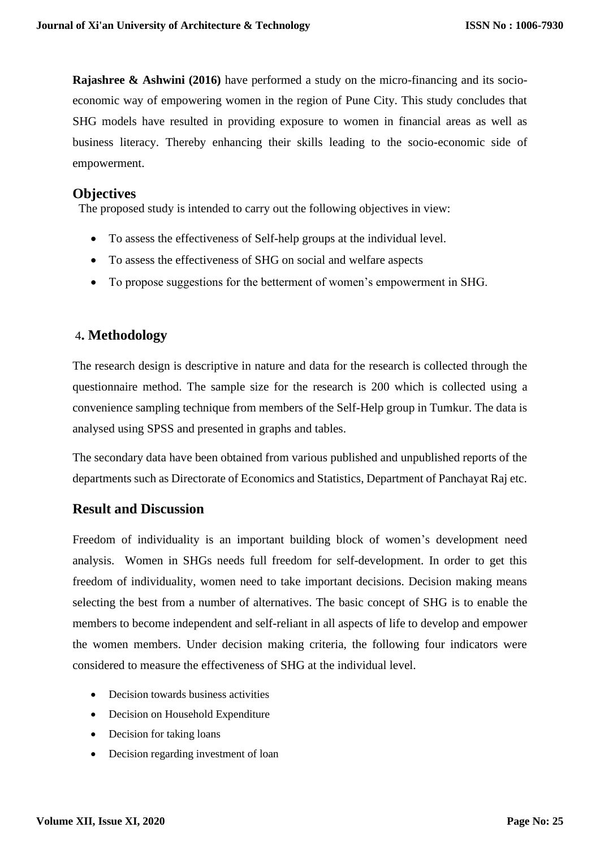**Rajashree & Ashwini (2016)** have performed a study on the micro-financing and its socioeconomic way of empowering women in the region of Pune City. This study concludes that SHG models have resulted in providing exposure to women in financial areas as well as business literacy. Thereby enhancing their skills leading to the socio-economic side of empowerment.

### **Objectives**

The proposed study is intended to carry out the following objectives in view:

- To assess the effectiveness of Self-help groups at the individual level.
- To assess the effectiveness of SHG on social and welfare aspects
- To propose suggestions for the betterment of women's empowerment in SHG.

# 4**. Methodology**

The research design is descriptive in nature and data for the research is collected through the questionnaire method. The sample size for the research is 200 which is collected using a convenience sampling technique from members of the Self-Help group in Tumkur. The data is analysed using SPSS and presented in graphs and tables.

The secondary data have been obtained from various published and unpublished reports of the departments such as Directorate of Economics and Statistics, Department of Panchayat Raj etc.

# **Result and Discussion**

Freedom of individuality is an important building block of women's development need analysis. Women in SHGs needs full freedom for self-development. In order to get this freedom of individuality, women need to take important decisions. Decision making means selecting the best from a number of alternatives. The basic concept of SHG is to enable the members to become independent and self-reliant in all aspects of life to develop and empower the women members. Under decision making criteria, the following four indicators were considered to measure the effectiveness of SHG at the individual level.

- Decision towards business activities
- Decision on Household Expenditure
- Decision for taking loans
- Decision regarding investment of loan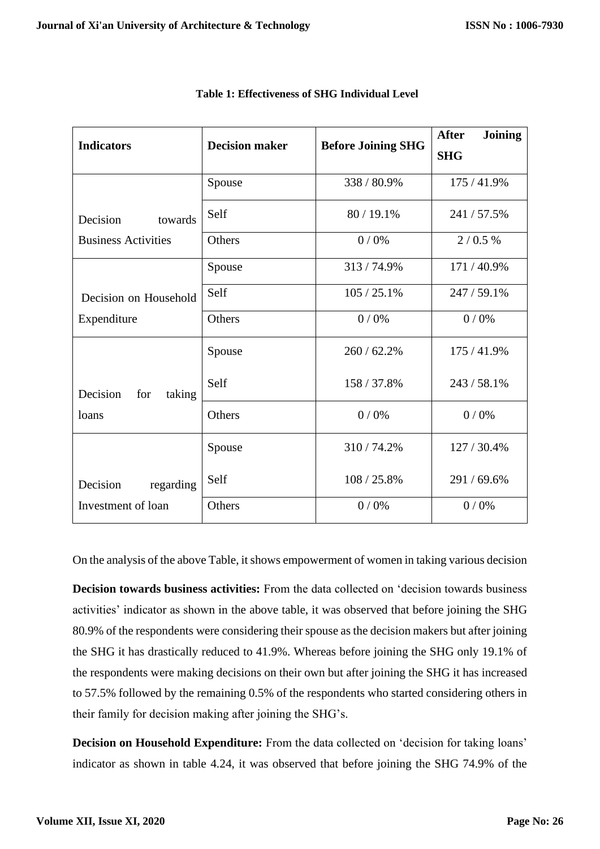| <b>Indicators</b>                  | <b>Decision maker</b> | <b>Before Joining SHG</b> | <b>After</b><br><b>Joining</b> |  |
|------------------------------------|-----------------------|---------------------------|--------------------------------|--|
|                                    |                       |                           | <b>SHG</b>                     |  |
|                                    | Spouse                | 338 / 80.9%               | 175/41.9%                      |  |
| Decision<br>towards                | Self                  | 80 / 19.1%                | 241/57.5%                      |  |
| <b>Business Activities</b>         | Others                | 0/0%                      | 2/0.5%                         |  |
|                                    | Spouse                | 313/74.9%                 | 171/40.9%                      |  |
| Decision on Household              | Self                  | 105/25.1%                 | 247 / 59.1%                    |  |
| Expenditure                        | Others                | 0/0%                      | 0/0%                           |  |
| Decision<br>for<br>taking<br>loans | Spouse                | 260 / 62.2%               | 175/41.9%                      |  |
|                                    | Self                  | 158 / 37.8%               | 243 / 58.1%                    |  |
|                                    | Others                | 0/0%                      | 0/0%                           |  |
| regarding<br>Decision              | Spouse                | 310/74.2%                 | 127 / 30.4%                    |  |
|                                    | Self                  | 108 / 25.8%               | 291/69.6%                      |  |
| Investment of loan                 | Others                | 0/0%                      | 0/0%                           |  |

#### **Table 1: Effectiveness of SHG Individual Level**

On the analysis of the above Table, it shows empowerment of women in taking various decision

**Decision towards business activities:** From the data collected on 'decision towards business activities' indicator as shown in the above table, it was observed that before joining the SHG 80.9% of the respondents were considering their spouse as the decision makers but after joining the SHG it has drastically reduced to 41.9%. Whereas before joining the SHG only 19.1% of the respondents were making decisions on their own but after joining the SHG it has increased to 57.5% followed by the remaining 0.5% of the respondents who started considering others in their family for decision making after joining the SHG's.

**Decision on Household Expenditure:** From the data collected on 'decision for taking loans' indicator as shown in table 4.24, it was observed that before joining the SHG 74.9% of the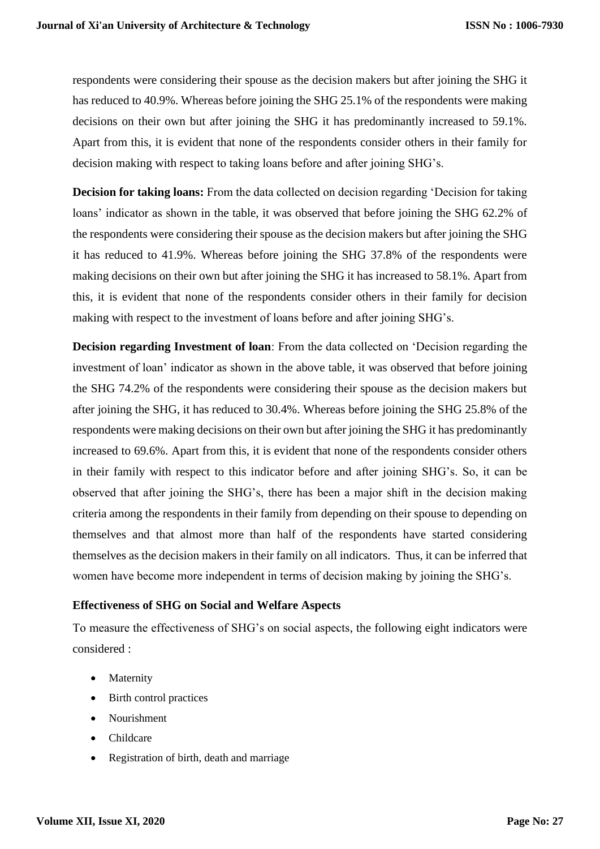respondents were considering their spouse as the decision makers but after joining the SHG it has reduced to 40.9%. Whereas before joining the SHG 25.1% of the respondents were making decisions on their own but after joining the SHG it has predominantly increased to 59.1%. Apart from this, it is evident that none of the respondents consider others in their family for decision making with respect to taking loans before and after joining SHG's.

**Decision for taking loans:** From the data collected on decision regarding 'Decision for taking loans' indicator as shown in the table, it was observed that before joining the SHG 62.2% of the respondents were considering their spouse as the decision makers but after joining the SHG it has reduced to 41.9%. Whereas before joining the SHG 37.8% of the respondents were making decisions on their own but after joining the SHG it has increased to 58.1%. Apart from this, it is evident that none of the respondents consider others in their family for decision making with respect to the investment of loans before and after joining SHG's.

**Decision regarding Investment of loan**: From the data collected on 'Decision regarding the investment of loan' indicator as shown in the above table, it was observed that before joining the SHG 74.2% of the respondents were considering their spouse as the decision makers but after joining the SHG, it has reduced to 30.4%. Whereas before joining the SHG 25.8% of the respondents were making decisions on their own but after joining the SHG it has predominantly increased to 69.6%. Apart from this, it is evident that none of the respondents consider others in their family with respect to this indicator before and after joining SHG's. So, it can be observed that after joining the SHG's, there has been a major shift in the decision making criteria among the respondents in their family from depending on their spouse to depending on themselves and that almost more than half of the respondents have started considering themselves as the decision makers in their family on all indicators. Thus, it can be inferred that women have become more independent in terms of decision making by joining the SHG's.

#### **Effectiveness of SHG on Social and Welfare Aspects**

To measure the effectiveness of SHG's on social aspects, the following eight indicators were considered :

- Maternity
- Birth control practices
- Nourishment
- Childcare
- Registration of birth, death and marriage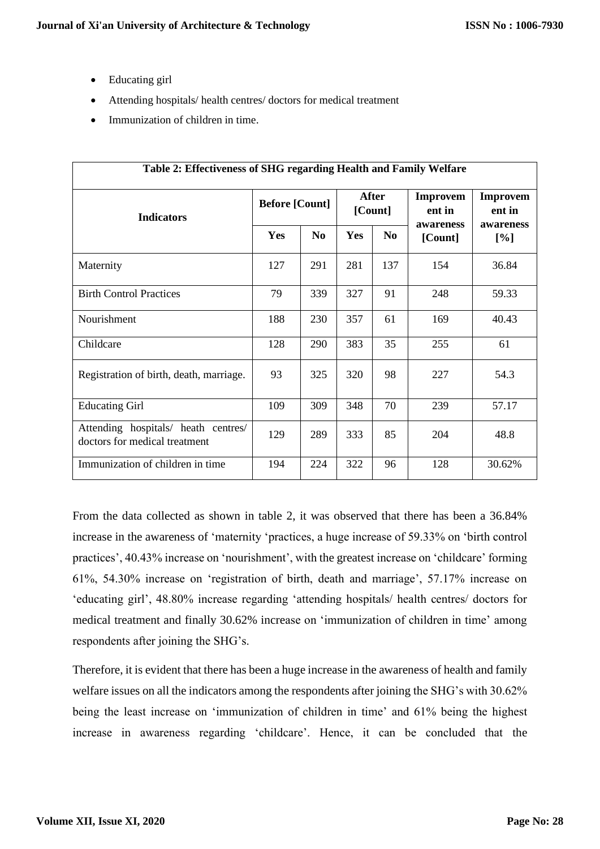- Educating girl
- Attending hospitals/ health centres/ doctors for medical treatment
- Immunization of children in time.

| Table 2: Effectiveness of SHG regarding Health and Family Welfare    |                       |                |                  |                |                                        |                                        |  |  |  |
|----------------------------------------------------------------------|-----------------------|----------------|------------------|----------------|----------------------------------------|----------------------------------------|--|--|--|
| <b>Indicators</b>                                                    | <b>Before [Count]</b> |                | After<br>[Count] |                | <b>Improvem</b><br>ent in<br>awareness | <b>Improvem</b><br>ent in<br>awareness |  |  |  |
|                                                                      | <b>Yes</b>            | N <sub>0</sub> | <b>Yes</b>       | N <sub>0</sub> | [Count]                                | [%]                                    |  |  |  |
| Maternity                                                            | 127                   | 291            | 281              | 137            | 154                                    | 36.84                                  |  |  |  |
| <b>Birth Control Practices</b>                                       | 79                    | 339            | 327              | 91             | 248                                    | 59.33                                  |  |  |  |
| Nourishment                                                          | 188                   | 230            | 357              | 61             | 169                                    | 40.43                                  |  |  |  |
| Childcare                                                            | 128                   | 290            | 383              | 35             | 255                                    | 61                                     |  |  |  |
| Registration of birth, death, marriage.                              | 93                    | 325            | 320              | 98             | 227                                    | 54.3                                   |  |  |  |
| <b>Educating Girl</b>                                                | 109                   | 309            | 348              | 70             | 239                                    | 57.17                                  |  |  |  |
| Attending hospitals/ heath centres/<br>doctors for medical treatment | 129                   | 289            | 333              | 85             | 204                                    | 48.8                                   |  |  |  |
| Immunization of children in time                                     | 194                   | 224            | 322              | 96             | 128                                    | 30.62%                                 |  |  |  |

From the data collected as shown in table 2, it was observed that there has been a 36.84% increase in the awareness of 'maternity 'practices, a huge increase of 59.33% on 'birth control practices', 40.43% increase on 'nourishment', with the greatest increase on 'childcare' forming 61%, 54.30% increase on 'registration of birth, death and marriage', 57.17% increase on 'educating girl', 48.80% increase regarding 'attending hospitals/ health centres/ doctors for medical treatment and finally 30.62% increase on 'immunization of children in time' among respondents after joining the SHG's.

Therefore, it is evident that there has been a huge increase in the awareness of health and family welfare issues on all the indicators among the respondents after joining the SHG's with 30.62% being the least increase on 'immunization of children in time' and 61% being the highest increase in awareness regarding 'childcare'. Hence, it can be concluded that the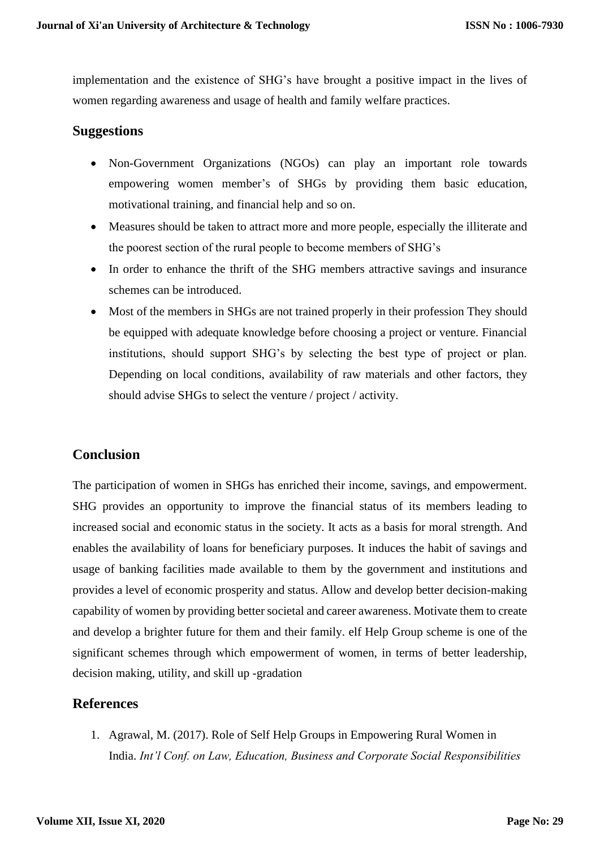implementation and the existence of SHG's have brought a positive impact in the lives of women regarding awareness and usage of health and family welfare practices.

### **Suggestions**

- Non-Government Organizations (NGOs) can play an important role towards empowering women member's of SHGs by providing them basic education, motivational training, and financial help and so on.
- Measures should be taken to attract more and more people, especially the illiterate and the poorest section of the rural people to become members of SHG's
- In order to enhance the thrift of the SHG members attractive savings and insurance schemes can be introduced.
- Most of the members in SHGs are not trained properly in their profession They should be equipped with adequate knowledge before choosing a project or venture. Financial institutions, should support SHG's by selecting the best type of project or plan. Depending on local conditions, availability of raw materials and other factors, they should advise SHGs to select the venture / project / activity.

# **Conclusion**

The participation of women in SHGs has enriched their income, savings, and empowerment. SHG provides an opportunity to improve the financial status of its members leading to increased social and economic status in the society. It acts as a basis for moral strength. And enables the availability of loans for beneficiary purposes. It induces the habit of savings and usage of banking facilities made available to them by the government and institutions and provides a level of economic prosperity and status. Allow and develop better decision-making capability of women by providing better societal and career awareness. Motivate them to create and develop a brighter future for them and their family. elf Help Group scheme is one of the significant schemes through which empowerment of women, in terms of better leadership, decision making, utility, and skill up -gradation

# **References**

1. Agrawal, M. (2017). Role of Self Help Groups in Empowering Rural Women in India. *Int'l Conf. on Law, Education, Business and Corporate Social Responsibilities*